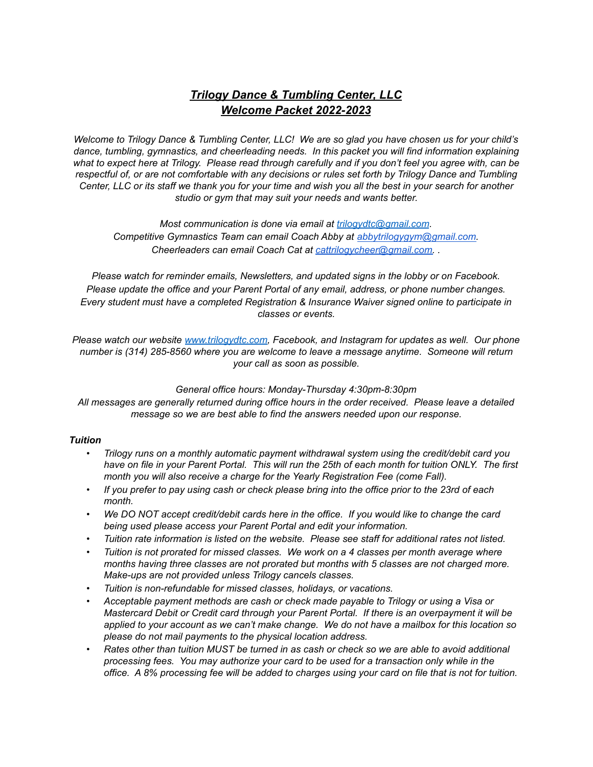# *Trilogy Dance & Tumbling Center, LLC Welcome Packet 2022-2023*

Welcome to Trilogy Dance & Tumbling Center, LLC! We are so glad you have chosen us for your child's *dance, tumbling, gymnastics, and cheerleading needs. In this packet you will find information explaining* what to expect here at Trilogy. Please read through carefully and if you don't feel you agree with, can be respectful of, or are not comfortable with any decisions or rules set forth by Trilogy Dance and Tumbling Center, LLC or its staff we thank you for your time and wish you all the best in your search for another *studio or gym that may suit your needs and wants better.*

*Most communication is done via email at [trilogydtc@gmail.com](mailto:trilogydtc@gmail.com). Competitive Gymnastics Team can email Coach Abby at [abbytrilogygym@gmail.com.](mailto:abbytrilogygym@gmail.com) Cheerleaders can email Coach Cat at [cattrilogycheer@gmail.com.](mailto:cattrilogycheer@gmail.com) .*

*Please watch for reminder emails, Newsletters, and updated signs in the lobby or on Facebook. Please update the office and your Parent Portal of any email, address, or phone number changes. Every student must have a completed Registration & Insurance Waiver signed online to participate in classes or events.*

*Please watch our website [www.trilogydtc.com](http://www.trilogydtc.com/), Facebook, and Instagram for updates as well. Our phone number is (314) 285-8560 where you are welcome to leave a message anytime. Someone will return your call as soon as possible.*

### *General office hours: Monday-Thursday 4:30pm-8:30pm*

*All messages are generally returned during office hours in the order received. Please leave a detailed message so we are best able to find the answers needed upon our response.*

### *Tuition*

- *• Trilogy runs on a monthly automatic payment withdrawal system using the credit/debit card you* have on file in your Parent Portal. This will run the 25th of each month for tuition ONLY. The first *month you will also receive a charge for the Yearly Registration Fee (come Fall).*
- If you prefer to pay using cash or check please bring into the office prior to the 23rd of each *month.*
- We DO NOT accept credit/debit cards here in the office. If you would like to change the card *being used please access your Parent Portal and edit your information.*
- *• Tuition rate information is listed on the website. Please see staff for additional rates not listed.*
- *• Tuition is not prorated for missed classes. We work on a 4 classes per month average where months having three classes are not prorated but months with 5 classes are not charged more. Make-ups are not provided unless Trilogy cancels classes.*
- *• Tuition is non-refundable for missed classes, holidays, or vacations.*
- *• Acceptable payment methods are cash or check made payable to Trilogy or using a Visa or Mastercard Debit or Credit card through your Parent Portal. If there is an overpayment it will be* applied to your account as we can't make change. We do not have a mailbox for this location so *please do not mail payments to the physical location address.*
- Rates other than tuition MUST be turned in as cash or check so we are able to avoid additional *processing fees. You may authorize your card to be used for a transaction only while in the* office. A 8% processing fee will be added to charges using your card on file that is not for tuition.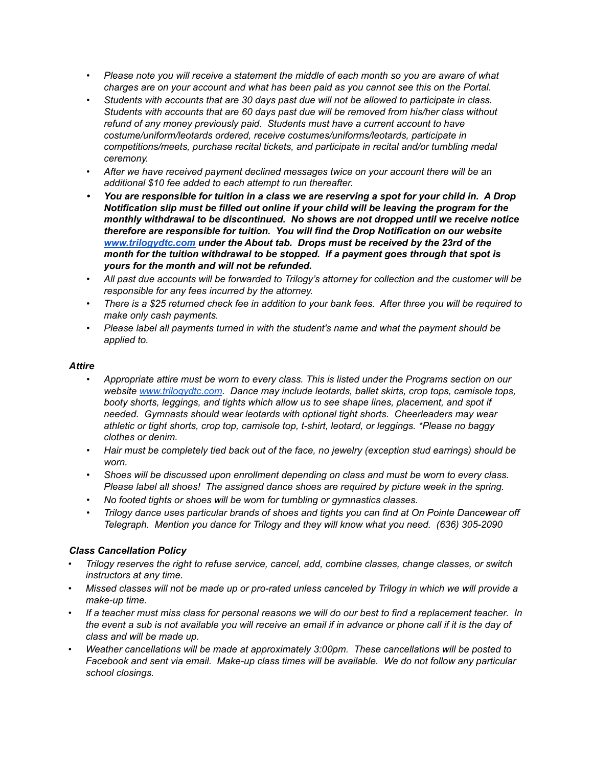- Please note you will receive a statement the middle of each month so you are aware of what *charges are on your account and what has been paid as you cannot see this on the Portal.*
- *• Students with accounts that are 30 days past due will not be allowed to participate in class. Students with accounts that are 60 days past due will be removed from his/her class without refund of any money previously paid. Students must have a current account to have costume/uniform/leotards ordered, receive costumes/uniforms/leotards, participate in competitions/meets, purchase recital tickets, and participate in recital and/or tumbling medal ceremony.*
- *• After we have received payment declined messages twice on your account there will be an additional \$10 fee added to each attempt to run thereafter.*
- You are responsible for tuition in a class we are reserving a spot for your child in. A Drop *Notification slip must be filled out online if your child will be leaving the program for the monthly withdrawal to be discontinued. No shows are not dropped until we receive notice therefore are responsible for tuition. You will find the Drop Notification on our website [www.trilogydtc.com](http://www.trilogydtc.com) under the About tab. Drops must be received by the 23rd of the month for the tuition withdrawal to be stopped. If a payment goes through that spot is yours for the month and will not be refunded.*
- All past due accounts will be forwarded to Trilogy's attorney for collection and the customer will be *responsible for any fees incurred by the attorney.*
- There is a \$25 returned check fee in addition to your bank fees. After three you will be required to *make only cash payments.*
- *• Please label all payments turned in with the student's name and what the payment should be applied to.*

### *Attire*

- *• Appropriate attire must be worn to every class. This is listed under the Programs section on our website [www.trilogydtc.com](http://www.trilogydtc.com). Dance may include leotards, ballet skirts, crop tops, camisole tops, booty shorts, leggings, and tights which allow us to see shape lines, placement, and spot if needed. Gymnasts should wear leotards with optional tight shorts. Cheerleaders may wear athletic or tight shorts, crop top, camisole top, t-shirt, leotard, or leggings. \*Please no baggy clothes or denim.*
- Hair must be completely tied back out of the face, no jewelry (exception stud earrings) should be *worn.*
- *• Shoes will be discussed upon enrollment depending on class and must be worn to every class. Please label all shoes! The assigned dance shoes are required by picture week in the spring.*
- *• No footed tights or shoes will be worn for tumbling or gymnastics classes.*
- *• Trilogy dance uses particular brands of shoes and tights you can find at On Pointe Dancewear off Telegraph. Mention you dance for Trilogy and they will know what you need. (636) 305-2090*

### *Class Cancellation Policy*

- *• Trilogy reserves the right to refuse service, cancel, add, combine classes, change classes, or switch instructors at any time.*
- Missed classes will not be made up or pro-rated unless canceled by Trilogy in which we will provide a *make-up time.*
- If a teacher must miss class for personal reasons we will do our best to find a replacement teacher. In the event a sub is not available you will receive an email if in advance or phone call if it is the day of *class and will be made up.*
- *• Weather cancellations will be made at approximately 3:00pm. These cancellations will be posted to Facebook and sent via email. Make-up class times will be available. We do not follow any particular school closings.*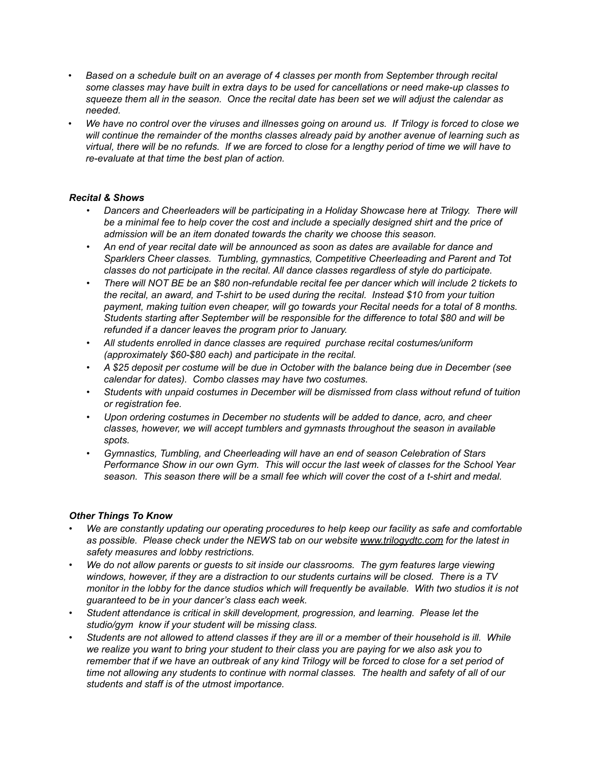- *• Based on a schedule built on an average of 4 classes per month from September through recital some classes may have built in extra days to be used for cancellations or need make-up classes to* squeeze them all in the season. Once the recital date has been set we will adjust the calendar as *needed.*
- We have no control over the viruses and illnesses going on around us. If Trilogy is forced to close we *will continue the remainder of the months classes already paid by another avenue of learning such as* virtual, there will be no refunds. If we are forced to close for a lengthy period of time we will have to *re-evaluate at that time the best plan of action.*

## *Recital & Shows*

- *• Dancers and Cheerleaders will be participating in a Holiday Showcase here at Trilogy. There will* be a minimal fee to help cover the cost and include a specially designed shirt and the price of *admission will be an item donated towards the charity we choose this season.*
- An end of vear recital date will be announced as soon as dates are available for dance and *Sparklers Cheer classes. Tumbling, gymnastics, Competitive Cheerleading and Parent and Tot classes do not participate in the recital. All dance classes regardless of style do participate.*
- There will NOT BE be an \$80 non-refundable recital fee per dancer which will include 2 tickets to *the recital, an award, and T-shirt to be used during the recital. Instead \$10 from your tuition payment, making tuition even cheaper, will go towards your Recital needs for a total of 8 months. Students starting after September will be responsible for the difference to total \$80 and will be refunded if a dancer leaves the program prior to January.*
- *• All students enrolled in dance classes are required purchase recital costumes/uniform (approximately \$60-\$80 each) and participate in the recital.*
- A \$25 deposit per costume will be due in October with the balance being due in December (see *calendar for dates). Combo classes may have two costumes.*
- *• Students with unpaid costumes in December will be dismissed from class without refund of tuition or registration fee.*
- *• Upon ordering costumes in December no students will be added to dance, acro, and cheer classes, however, we will accept tumblers and gymnasts throughout the season in available spots.*
- *• Gymnastics, Tumbling, and Cheerleading will have an end of season Celebration of Stars Performance Show in our own Gym. This will occur the last week of classes for the School Year* season. This season there will be a small fee which will cover the cost of a t-shirt and medal.

### *Other Things To Know*

- *• We are constantly updating our operating procedures to help keep our facility as safe and comfortable as possible. Please check under the NEWS tab on our website [www.trilogydtc.com](http://www.trilogydtc.com/) for the latest in safety measures and lobby restrictions.*
- *• We do not allow parents or guests to sit inside our classrooms. The gym features large viewing windows, however, if they are a distraction to our students curtains will be closed. There is a TV* monitor in the lobby for the dance studios which will frequently be available. With two studios it is not *guaranteed to be in your dancer's class each week.*
- *• Student attendance is critical in skill development, progression, and learning. Please let the studio/gym know if your student will be missing class.*
- Students are not allowed to attend classes if they are ill or a member of their household is ill. While we realize you want to bring your student to their class you are paying for we also ask you to remember that if we have an outbreak of any kind Trilogy will be forced to close for a set period of time not allowing any students to continue with normal classes. The health and safety of all of our *students and staff is of the utmost importance.*